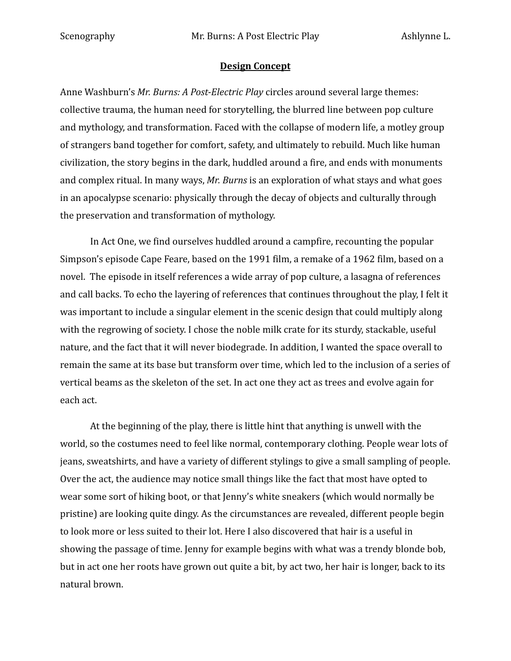## **Design Concept**

Anne Washburn's *Mr. Burns: A Post-Electric Play* circles around several large themes: collective trauma, the human need for storytelling, the blurred line between pop culture and mythology, and transformation. Faced with the collapse of modern life, a motley group of strangers band together for comfort, safety, and ultimately to rebuild. Much like human civilization, the story begins in the dark, huddled around a fire, and ends with monuments and complex ritual. In many ways, *Mr. Burns* is an exploration of what stays and what goes in an apocalypse scenario: physically through the decay of objects and culturally through the preservation and transformation of mythology.

In Act One, we find ourselves huddled around a campfire, recounting the popular Simpson's episode Cape Feare, based on the 1991 film, a remake of a 1962 film, based on a novel. The episode in itself references a wide array of pop culture, a lasagna of references and call backs. To echo the layering of references that continues throughout the play, I felt it was important to include a singular element in the scenic design that could multiply along with the regrowing of society. I chose the noble milk crate for its sturdy, stackable, useful nature, and the fact that it will never biodegrade. In addition, I wanted the space overall to remain the same at its base but transform over time, which led to the inclusion of a series of vertical beams as the skeleton of the set. In act one they act as trees and evolve again for each act.

At the beginning of the play, there is little hint that anything is unwell with the world, so the costumes need to feel like normal, contemporary clothing. People wear lots of jeans, sweatshirts, and have a variety of different stylings to give a small sampling of people. Over the act, the audience may notice small things like the fact that most have opted to wear some sort of hiking boot, or that Jenny's white sneakers (which would normally be pristine) are looking quite dingy. As the circumstances are revealed, different people begin to look more or less suited to their lot. Here I also discovered that hair is a useful in showing the passage of time. Jenny for example begins with what was a trendy blonde bob, but in act one her roots have grown out quite a bit, by act two, her hair is longer, back to its natural brown.